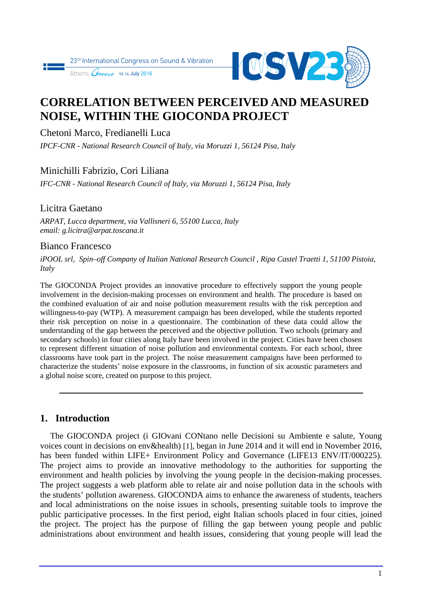



# **CORRELATION BETWEEN PERCEIVED AND MEASURED NOISE, WITHIN THE GIOCONDA PROJECT**

Chetoni Marco, Fredianelli Luca

*IPCF-CNR - National Research Council of Italy, via Moruzzi 1, 56124 Pisa, Italy* 

# Minichilli Fabrizio, Cori Liliana

*IFC-CNR - National Research Council of Italy, via Moruzzi 1, 56124 Pisa, Italy* 

### Licitra Gaetano

*ARPAT, Lucca department, via Vallisneri 6, 55100 Lucca, Italy email: g.licitra@arpat.toscana.it* 

## Bianco Francesco

*iPOOL srl, Spin–off Company of Italian National Research Council , Ripa Castel Traetti 1, 51100 Pistoia, Italy* 

The GIOCONDA Project provides an innovative procedure to effectively support the young people involvement in the decision-making processes on environment and health. The procedure is based on the combined evaluation of air and noise pollution measurement results with the risk perception and willingness-to-pay (WTP). A measurement campaign has been developed, while the students reported their risk perception on noise in a questionnaire. The combination of these data could allow the understanding of the gap between the perceived and the objective pollution. Two schools (primary and secondary schools) in four cities along Italy have been involved in the project. Cities have been chosen to represent different situation of noise pollution and environmental contexts. For each school, three classrooms have took part in the project. The noise measurement campaigns have been performed to characterize the students' noise exposure in the classrooms, in function of six acoustic parameters and a global noise score, created on purpose to this project.

# **1. Introduction**

The GIOCONDA project (i GIOvani CONtano nelle Decisioni su Ambiente e salute, Young voices count in decisions on env&health) [1], began in June 2014 and it will end in November 2016, has been funded within LIFE+ Environment Policy and Governance (LIFE13 ENV/IT/000225). The project aims to provide an innovative methodology to the authorities for supporting the environment and health policies by involving the young people in the decision-making processes. The project suggests a web platform able to relate air and noise pollution data in the schools with the students' pollution awareness. GIOCONDA aims to enhance the awareness of students, teachers and local administrations on the noise issues in schools, presenting suitable tools to improve the public participative processes. In the first period, eight Italian schools placed in four cities, joined the project. The project has the purpose of filling the gap between young people and public administrations about environment and health issues, considering that young people will lead the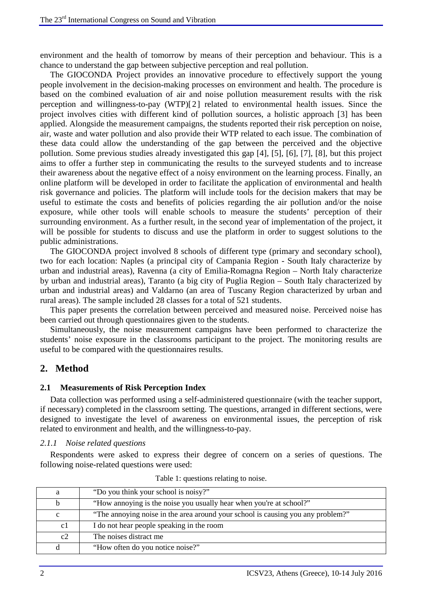environment and the health of tomorrow by means of their perception and behaviour. This is a chance to understand the gap between subjective perception and real pollution.

The GIOCONDA Project provides an innovative procedure to effectively support the young people involvement in the decision-making processes on environment and health. The procedure is based on the combined evaluation of air and noise pollution measurement results with the risk perception and willingness-to-pay (WTP)[2] related to environmental health issues. Since the project involves cities with different kind of pollution sources, a holistic approach [3] has been applied. Alongside the measurement campaigns, the students reported their risk perception on noise, air, waste and water pollution and also provide their WTP related to each issue. The combination of these data could allow the understanding of the gap between the perceived and the objective pollution. Some previous studies already investigated this gap [4], [5], [6], [7], [8], but this project aims to offer a further step in communicating the results to the surveyed students and to increase their awareness about the negative effect of a noisy environment on the learning process. Finally, an online platform will be developed in order to facilitate the application of environmental and health risk governance and policies. The platform will include tools for the decision makers that may be useful to estimate the costs and benefits of policies regarding the air pollution and/or the noise exposure, while other tools will enable schools to measure the students' perception of their surrounding environment. As a further result, in the second year of implementation of the project, it will be possible for students to discuss and use the platform in order to suggest solutions to the public administrations.

The GIOCONDA project involved 8 schools of different type (primary and secondary school), two for each location: Naples (a principal city of Campania Region - South Italy characterize by urban and industrial areas), Ravenna (a city of Emilia-Romagna Region – North Italy characterize by urban and industrial areas), Taranto (a big city of Puglia Region – South Italy characterized by urban and industrial areas) and Valdarno (an area of Tuscany Region characterized by urban and rural areas). The sample included 28 classes for a total of 521 students.

This paper presents the correlation between perceived and measured noise. Perceived noise has been carried out through questionnaires given to the students.

Simultaneously, the noise measurement campaigns have been performed to characterize the students' noise exposure in the classrooms participant to the project. The monitoring results are useful to be compared with the questionnaires results.

# **2. Method**

#### **2.1 Measurements of Risk Perception Index**

Data collection was performed using a self-administered questionnaire (with the teacher support, if necessary) completed in the classroom setting. The questions, arranged in different sections, were designed to investigate the level of awareness on environmental issues, the perception of risk related to environment and health, and the willingness-to-pay.

#### *2.1.1 Noise related questions*

Respondents were asked to express their degree of concern on a series of questions. The following noise-related questions were used:

| a           | "Do you think your school is noisy?"                                            |
|-------------|---------------------------------------------------------------------------------|
| b           | "How annoying is the noise you usually hear when you're at school?"             |
| $\mathbf c$ | "The annoying noise in the area around your school is causing you any problem?" |
| c1          | I do not hear people speaking in the room                                       |
| c2          | The noises distract me                                                          |
| đ           | "How often do you notice noise?"                                                |

Table 1: questions relating to noise.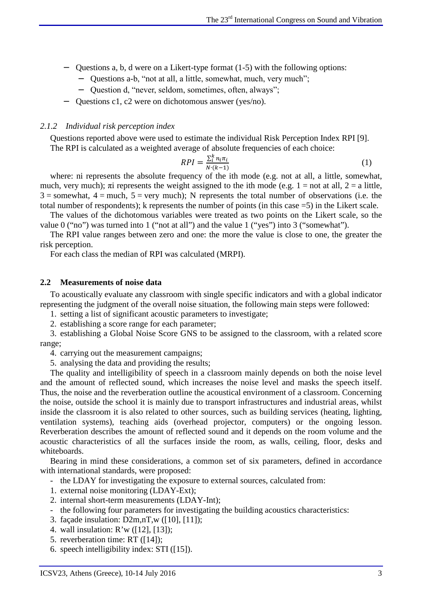- − Questions a, b, d were on a Likert-type format (1-5) with the following options:
	- − Questions a-b, "not at all, a little, somewhat, much, very much";
	- − Question d, "never, seldom, sometimes, often, always";
- − Questions c1, c2 were on dichotomous answer (yes/no).

#### *2.1.2 Individual risk perception index*

Questions reported above were used to estimate the individual Risk Perception Index RPI [9]. The RPI is calculated as a weighted average of absolute frequencies of each choice:

$$
RPI = \frac{\sum_{i}^{k} n_i \pi_i}{N \cdot (k-1)} \tag{1}
$$

where: ni represents the absolute frequency of the ith mode (e.g. not at all, a little, somewhat, much, very much);  $\pi i$  represents the weight assigned to the ith mode (e.g. 1 = not at all, 2 = a little,  $3 =$ somewhat,  $4 =$  much,  $5 =$  very much); N represents the total number of observations (i.e. the total number of respondents); k represents the number of points (in this case =5) in the Likert scale.

The values of the dichotomous variables were treated as two points on the Likert scale, so the value 0 ("no") was turned into 1 ("not at all") and the value 1 ("yes") into 3 ("somewhat").

The RPI value ranges between zero and one: the more the value is close to one, the greater the risk perception.

For each class the median of RPI was calculated (MRPI).

#### **2.2 Measurements of noise data**

To acoustically evaluate any classroom with single specific indicators and with a global indicator representing the judgment of the overall noise situation, the following main steps were followed:

1. setting a list of significant acoustic parameters to investigate;

2. establishing a score range for each parameter;

3. establishing a Global Noise Score GNS to be assigned to the classroom, with a related score range;

4. carrying out the measurement campaigns;

5. analysing the data and providing the results;

The quality and intelligibility of speech in a classroom mainly depends on both the noise level and the amount of reflected sound, which increases the noise level and masks the speech itself. Thus, the noise and the reverberation outline the acoustical environment of a classroom. Concerning the noise, outside the school it is mainly due to transport infrastructures and industrial areas, whilst inside the classroom it is also related to other sources, such as building services (heating, lighting, ventilation systems), teaching aids (overhead projector, computers) or the ongoing lesson. Reverberation describes the amount of reflected sound and it depends on the room volume and the acoustic characteristics of all the surfaces inside the room, as walls, ceiling, floor, desks and whiteboards.

Bearing in mind these considerations, a common set of six parameters, defined in accordance with international standards, were proposed:

- the LDAY for investigating the exposure to external sources, calculated from:
- 1. external noise monitoring (LDAY-Ext);
- 2. internal short-term measurements (LDAY-Int);
- the following four parameters for investigating the building acoustics characteristics:
- 3. façade insulation: D2m,nT,w ([10], [11]);
- 4. wall insulation: R'w ([12], [13]);
- 5. reverberation time: RT ([14]);
- 6. speech intelligibility index: STI ([15]).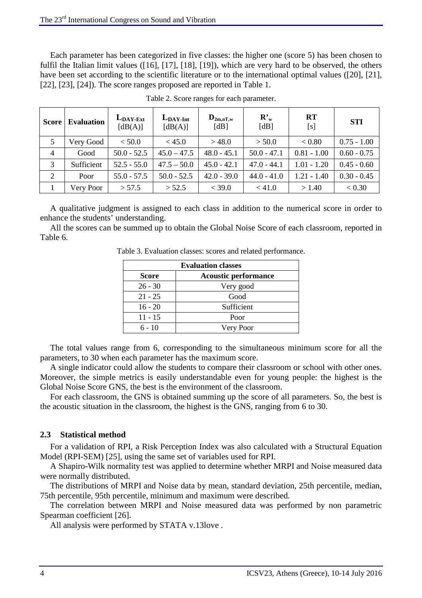Each parameter has been categorized in five classes: the higher one (score 5) has been chosen to fulfil the Italian limit values ([16], [17], [18], [19]), which are very hard to be observed, the others have been set according to the scientific literature or to the international optimal values ([20], [21], [22], [23], [24]). The score ranges proposed are reported in Table 1.

| <b>Score</b>   | <b>Evaluation</b> | $L_{\text{DAY-Ext}}$<br>[dB(A)] | $L_{\text{DAY-Int}}$<br>[dB(A)] | $\mathbf{D}_{2m,nT,w}$<br>[dB] | $\mathbf{R'}_{w}$<br>[dB] | <b>RT</b><br>[s] | <b>STI</b>    |
|----------------|-------------------|---------------------------------|---------------------------------|--------------------------------|---------------------------|------------------|---------------|
|                | Very Good         | < 50.0                          | < 45.0                          | >48.0                          | > 50.0                    | < 0.80           | $0.75 - 1.00$ |
| $\overline{4}$ | Good              | $50.0 - 52.5$                   | $45.0 - 47.5$                   | $48.0 - 45.1$                  | $50.0 - 47.1$             | $0.81 - 1.00$    | $0.60 - 0.75$ |
| 3              | Sufficient        | $52.5 - 55.0$                   | $47.5 - 50.0$                   | $45.0 - 42.1$                  | $47.0 - 44.1$             | $1.01 - 1.20$    | $0.45 - 0.60$ |
| 2              | Poor              | $55.0 - 57.5$                   | $50.0 - 52.5$                   | $42.0 - 39.0$                  | $44.0 - 41.0$             | $1.21 - 1.40$    | $0.30 - 0.45$ |
|                | Very Poor         | > 57.5                          | > 52.5                          | $<$ 39.0                       | < 41.0                    | > 1.40           | < 0.30        |

Table 2. Score ranges for each parameter.

A qualitative judgment is assigned to each class in addition to the numerical score in order to enhance the students' understanding.

All the scores can be summed up to obtain the Global Noise Score of each classroom, reported in Table 6.

Table 3. Evaluation classes: scores and related performance.

| <b>Evaluation classes</b>                   |            |  |  |  |  |  |  |
|---------------------------------------------|------------|--|--|--|--|--|--|
| <b>Acoustic performance</b><br><b>Score</b> |            |  |  |  |  |  |  |
| $26 - 30$                                   | Very good  |  |  |  |  |  |  |
| $21 - 25$                                   | Good       |  |  |  |  |  |  |
| $16 - 20$                                   | Sufficient |  |  |  |  |  |  |
| $11 - 15$                                   | Poor       |  |  |  |  |  |  |
| $6 - 10$                                    | Very Poor  |  |  |  |  |  |  |

The total values range from 6, corresponding to the simultaneous minimum score for all the parameters, to 30 when each parameter has the maximum score.

A single indicator could allow the students to compare their classroom or school with other ones. Moreover, the simple metrics is easily understandable even for young people: the highest is the Global Noise Score GNS, the best is the environment of the classroom.

For each classroom, the GNS is obtained summing up the score of all parameters. So, the best is the acoustic situation in the classroom, the highest is the GNS, ranging from 6 to 30.

### **2.3 Statistical method**

For a validation of RPI, a Risk Perception Index was also calculated with a Structural Equation Model (RPI-SEM) [25], using the same set of variables used for RPI.

A Shapiro-Wilk normality test was applied to determine whether MRPI and Noise measured data were normally distributed.

The distributions of MRPI and Noise data by mean, standard deviation, 25th percentile, median, 75th percentile, 95th percentile, minimum and maximum were described.

The correlation between MRPI and Noise measured data was performed by non parametric Spearman coefficient [26].

All analysis were performed by STATA v.13love .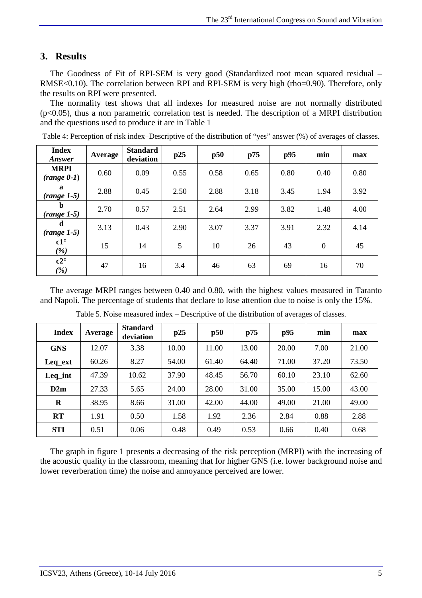# **3. Results**

The Goodness of Fit of RPI-SEM is very good (Standardized root mean squared residual – RMSE<0.10). The correlation between RPI and RPI-SEM is very high (rho=0.90). Therefore, only the results on RPI were presented.

The normality test shows that all indexes for measured noise are not normally distributed  $(p<0.05)$ , thus a non parametric correlation test is needed. The description of a MRPI distribution and the questions used to produce it are in Table 1

| <b>Index</b><br>Answer        | Average | <b>Standard</b><br>deviation | p25  | p50  | p75  | p95  | min          | max  |
|-------------------------------|---------|------------------------------|------|------|------|------|--------------|------|
| <b>MRPI</b><br>$(range(0-1))$ | 0.60    | 0.09                         | 0.55 | 0.58 | 0.65 | 0.80 | 0.40         | 0.80 |
| $\mathbf a$<br>$(range 1-5)$  | 2.88    | 0.45                         | 2.50 | 2.88 | 3.18 | 3.45 | 1.94         | 3.92 |
| b<br>$(range 1-5)$            | 2.70    | 0.57                         | 2.51 | 2.64 | 2.99 | 3.82 | 1.48         | 4.00 |
| d<br>$(range 1-5)$            | 3.13    | 0.43                         | 2.90 | 3.07 | 3.37 | 3.91 | 2.32         | 4.14 |
| $c1^{\circ}$<br>(%)           | 15      | 14                           | 5    | 10   | 26   | 43   | $\mathbf{0}$ | 45   |
| $c2^{\circ}$<br>(%)           | 47      | 16                           | 3.4  | 46   | 63   | 69   | 16           | 70   |

Table 4: Perception of risk index–Descriptive of the distribution of "yes" answer (%) of averages of classes.

The average MRPI ranges between 0.40 and 0.80, with the highest values measured in Taranto and Napoli. The percentage of students that declare to lose attention due to noise is only the 15%.

| <b>Index</b> | Average | <b>Standard</b><br>deviation | p25   | p50   | p75   | p95   | min   | max   |
|--------------|---------|------------------------------|-------|-------|-------|-------|-------|-------|
| <b>GNS</b>   | 12.07   | 3.38                         | 10.00 | 11.00 | 13.00 | 20.00 | 7.00  | 21.00 |
| Leq_ext      | 60.26   | 8.27                         | 54.00 | 61.40 | 64.40 | 71.00 | 37.20 | 73.50 |
| Leq_int      | 47.39   | 10.62                        | 37.90 | 48.45 | 56.70 | 60.10 | 23.10 | 62.60 |
| D2m          | 27.33   | 5.65                         | 24.00 | 28.00 | 31.00 | 35.00 | 15.00 | 43.00 |
| $\bf{R}$     | 38.95   | 8.66                         | 31.00 | 42.00 | 44.00 | 49.00 | 21.00 | 49.00 |
| RT           | 1.91    | 0.50                         | 1.58  | 1.92  | 2.36  | 2.84  | 0.88  | 2.88  |
| <b>STI</b>   | 0.51    | 0.06                         | 0.48  | 0.49  | 0.53  | 0.66  | 0.40  | 0.68  |

Table 5. Noise measured index – Descriptive of the distribution of averages of classes.

The graph in figure 1 presents a decreasing of the risk perception (MRPI) with the increasing of the acoustic quality in the classroom, meaning that for higher GNS (i.e. lower background noise and lower reverberation time) the noise and annoyance perceived are lower.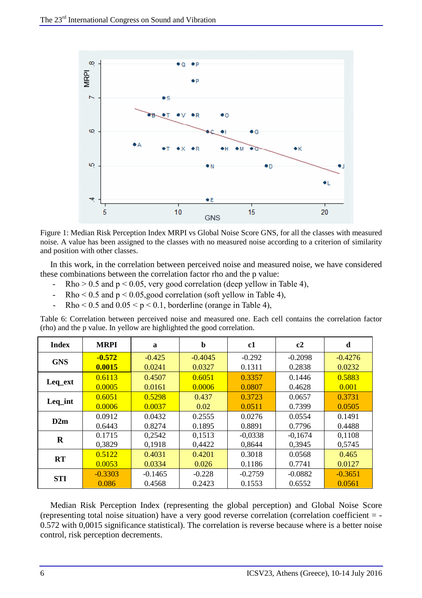

Figure 1: Median Risk Perception Index MRPI vs Global Noise Score GNS, for all the classes with measured noise. A value has been assigned to the classes with no measured noise according to a criterion of similarity and position with other classes.

In this work, in the correlation between perceived noise and measured noise, we have considered these combinations between the correlation factor rho and the p value:

- Rho  $> 0.5$  and  $p < 0.05$ , very good correlation (deep yellow in Table 4),
- Rho <  $0.5$  and  $p < 0.05$ , good correlation (soft yellow in Table 4),
- $Rho < 0.5$  and  $0.05 < p < 0.1$ , borderline (orange in Table 4),

Table 6: Correlation between perceived noise and measured one. Each cell contains the correlation factor (rho) and the p value. In yellow are highlighted the good correlation.

| <b>Index</b> | <b>MRPI</b> | a         | $\mathbf b$ | c1        | c2        | d         |
|--------------|-------------|-----------|-------------|-----------|-----------|-----------|
| <b>GNS</b>   | $-0.572$    | $-0.425$  | $-0.4045$   | $-0.292$  | $-0.2098$ | $-0.4276$ |
|              | 0.0015      | 0.0241    | 0.0327      | 0.1311    | 0.2838    | 0.0232    |
|              | 0.6113      | 0.4507    | 0.6051      | 0.3357    | 0.1446    | 0.5883    |
| Leq_ext      | 0.0005      | 0.0161    | 0.0006      | 0.0807    | 0.4628    | 0.001     |
| Leq_int      | 0.6051      | 0.5298    | 0.437       | 0.3723    | 0.0657    | 0.3731    |
|              | 0.0006      | 0.0037    | 0.02        | 0.0511    | 0.7399    | 0.0505    |
| D2m          | 0.0912      | 0.0432    | 0.2555      | 0.0276    | 0.0554    | 0.1491    |
|              | 0.6443      | 0.8274    | 0.1895      | 0.8891    | 0.7796    | 0.4488    |
| $\bf{R}$     | 0.1715      | 0,2542    | 0,1513      | $-0,0338$ | $-0,1674$ | 0,1108    |
|              | 0.3829      | 0,1918    | 0,4422      | 0,8644    | 0,3945    | 0,5745    |
| RT           | 0.5122      | 0.4031    | 0.4201      | 0.3018    | 0.0568    | 0.465     |
|              | 0.0053      | 0.0334    | 0.026       | 0.1186    | 0.7741    | 0.0127    |
| <b>STI</b>   | $-0.3303$   | $-0.1465$ | $-0.228$    | $-0.2759$ | $-0.0882$ | $-0.3651$ |
|              | 0.086       | 0.4568    | 0.2423      | 0.1553    | 0.6552    | 0.0561    |

Median Risk Perception Index (representing the global perception) and Global Noise Score (representing total noise situation) have a very good reverse correlation (correlation coefficient = - 0.572 with 0,0015 significance statistical). The correlation is reverse because where is a better noise control, risk perception decrements.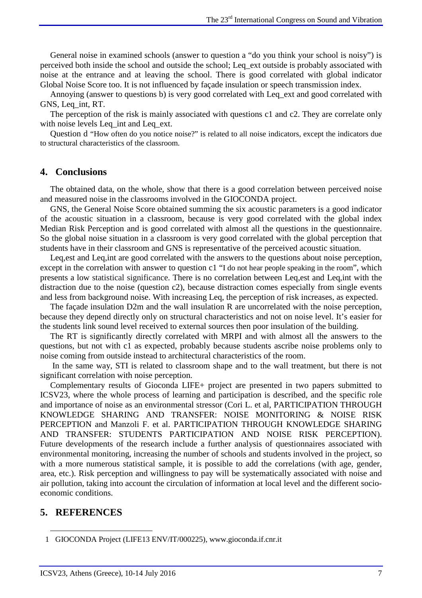General noise in examined schools (answer to question a "do you think your school is noisy") is perceived both inside the school and outside the school; Leq\_ext outside is probably associated with noise at the entrance and at leaving the school. There is good correlated with global indicator Global Noise Score too. It is not influenced by façade insulation or speech transmission index.

Annoying (answer to questions b) is very good correlated with Leq\_ext and good correlated with GNS, Leq\_int, RT.

The perception of the risk is mainly associated with questions c1 and c2. They are correlate only with noise levels Leq int and Leq ext.

Question d "How often do you notice noise?" is related to all noise indicators, except the indicators due to structural characteristics of the classroom.

### **4. Conclusions**

The obtained data, on the whole, show that there is a good correlation between perceived noise and measured noise in the classrooms involved in the GIOCONDA project.

GNS, the General Noise Score obtained summing the six acoustic parameters is a good indicator of the acoustic situation in a classroom, because is very good correlated with the global index Median Risk Perception and is good correlated with almost all the questions in the questionnaire. So the global noise situation in a classroom is very good correlated with the global perception that students have in their classroom and GNS is representative of the perceived acoustic situation.

Leq,est and Leq,int are good correlated with the answers to the questions about noise perception, except in the correlation with answer to question c1 "I do not hear people speaking in the room", which presents a low statistical significance. There is no correlation between Leq,est and Leq,int with the distraction due to the noise (question c2), because distraction comes especially from single events and less from background noise. With increasing Leq, the perception of risk increases, as expected.

The façade insulation D2m and the wall insulation R are uncorrelated with the noise perception, because they depend directly only on structural characteristics and not on noise level. It's easier for the students link sound level received to external sources then poor insulation of the building.

The RT is significantly directly correlated with MRPI and with almost all the answers to the questions, but not with c1 as expected, probably because students ascribe noise problems only to noise coming from outside instead to architectural characteristics of the room.

 In the same way, STI is related to classroom shape and to the wall treatment, but there is not significant correlation with noise perception.

Complementary results of Gioconda LIFE+ project are presented in two papers submitted to ICSV23, where the whole process of learning and participation is described, and the specific role and importance of noise as an environmental stressor (Cori L. et al, PARTICIPATION THROUGH KNOWLEDGE SHARING AND TRANSFER: NOISE MONITORING & NOISE RISK PERCEPTION and Manzoli F. et al. PARTICIPATION THROUGH KNOWLEDGE SHARING AND TRANSFER: STUDENTS PARTICIPATION AND NOISE RISK PERCEPTION). Future developments of the research include a further analysis of questionnaires associated with environmental monitoring, increasing the number of schools and students involved in the project, so with a more numerous statistical sample, it is possible to add the correlations (with age, gender, area, etc.). Risk perception and willingness to pay will be systematically associated with noise and air pollution, taking into account the circulation of information at local level and the different socioeconomic conditions.

### **5. REFERENCES**

 $\overline{a}$ 

<sup>1</sup> GIOCONDA Project (LIFE13 ENV/IT/000225), www.gioconda.if.cnr.it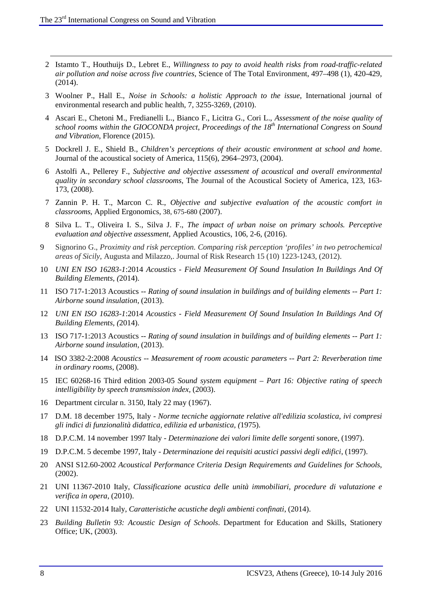-

- 2 Istamto T., Houthuijs D., Lebret E., *Willingness to pay to avoid health risks from road-traffic-related air pollution and noise across five countries*, Science of The Total Environment, 497–498 (1), 420-429, (2014).
- 3 Woolner P., Hall E., *Noise in Schools: a holistic Approach to the issue*, International journal of environmental research and public health, 7, 3255-3269, (2010).
- 4 Ascari E., Chetoni M., Fredianelli L., Bianco F., Licitra G., Cori L., *Assessment of the noise quality of school rooms within the GIOCONDA project*, *Proceedings of the 18th International Congress on Sound and Vibration*, Florence (2015).
- 5 Dockrell J. E., Shield B., *Children's perceptions of their acoustic environment at school and home*. Journal of the acoustical society of America, 115(6), 2964–2973, (2004).
- 6 Astolfi A., Pellerey F., *Subjective and objective assessment of acoustical and overall environmental quality in secondary school classrooms*, The Journal of the Acoustical Society of America, 123, 163- 173, (2008).
- 7 Zannin P. H. T., Marcon C. R., *Objective and subjective evaluation of the acoustic comfort in classrooms*, Applied Ergonomics, 38, 675-680 (2007).
- 8 Silva L. T., Oliveira I. S., Silva J. F., *The impact of urban noise on primary schools. Perceptive evaluation and objective assessment*, Applied Acoustics, 106, 2-6, (2016).
- 9 Signorino G., *Proximity and risk perception. Comparing risk perception 'profiles' in two petrochemical areas of Sicily*, Augusta and Milazzo,. Journal of Risk Research 15 (10) 1223-1243, (2012).
- 10 *UNI EN ISO 16283-1*:2014 *Acoustics Field Measurement Of Sound Insulation In Buildings And Of Building Elements, (*2014).
- 11 ISO 717-1:2013 Acoustics -- *Rating of sound insulation in buildings and of building elements -- Part 1: Airborne sound insulation*, (2013).
- 12 *UNI EN ISO 16283-1*:2014 *Acoustics Field Measurement Of Sound Insulation In Buildings And Of Building Elements, (*2014).
- 13 ISO 717-1:2013 Acoustics -- *Rating of sound insulation in buildings and of building elements -- Part 1: Airborne sound insulation*, (2013).
- 14 ISO 3382-2:2008 *Acoustics -- Measurement of room acoustic parameters -- Part 2: Reverberation time in ordinary rooms*, (2008).
- 15 IEC 60268-16 Third edition 2003-05 *Sound system equipment Part 16: Objective rating of speech intelligibility by speech transmission index,* (2003).
- 16 Department circular n. 3150, Italy 22 may (1967).
- 17 D.M. 18 december 1975, Italy *Norme tecniche aggiornate relative all'edilizia scolastica, ivi compresi gli indici di funzionalità didattica, edilizia ed urbanistica, (*1975).
- 18 D.P.C.M. 14 november 1997 Italy *Determinazione dei valori limite delle sorgenti* sonore, (1997).
- 19 D.P.C.M. 5 decembe 1997, Italy *Determinazione dei requisiti acustici passivi degli edifici*, (1997).
- 20 ANSI S12.60-2002 *Acoustical Performance Criteria Design Requirements and Guidelines for Schools*, (2002).
- 21 UNI 11367-2010 Italy, *Classificazione acustica delle unità immobiliari, procedure di valutazione e verifica in opera*, (2010).
- 22 UNI 11532-2014 Italy, *Caratteristiche acustiche degli ambienti confinati*, (2014).
- 23 *Building Bulletin 93: Acoustic Design of Schools*. Department for Education and Skills, Stationery Office; UK, (2003).